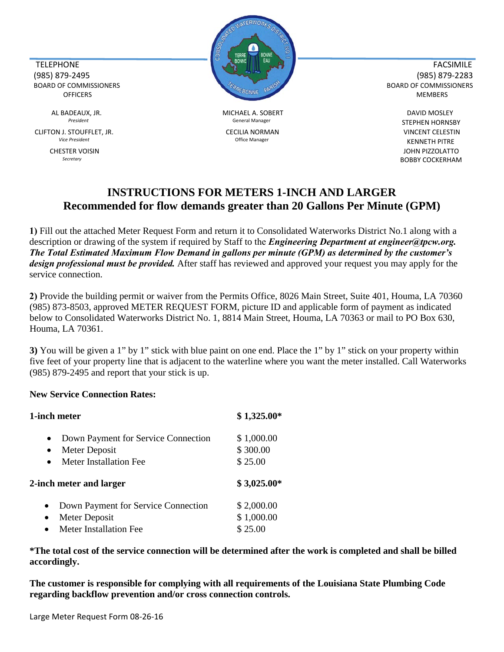CLIFTON J. STOUFFLET, JR. CECILIA NORMAN VINCENT CELESTIN



 AL BADEAUX, JR. MICHAEL A. SOBERT DAVID MOSLEY President **STEPHEN HORNSBY** General Manager **STEPHEN HORNSBY** 

**Vice President CONSIDENT CONSIDENT CONSIDENT CONSIDENT CONSIDENT CONSIDERS CONSIDERED MANAGERY CONSIDERED MANAGERY CONSIDERED MANAGERY CONSIDERED MANAGERY CONSIDERED MANAGERY CONSIDERED MANAGERY CONSIDERED MANAGERY CONS** CHESTER VOISIN JOHN PIZZOLATTO *Secretary* BOBBY COCKERHAM

## **INSTRUCTIONS FOR METERS 1-INCH AND LARGER Recommended for flow demands greater than 20 Gallons Per Minute (GPM)**

**1)** Fill out the attached Meter Request Form and return it to Consolidated Waterworks District No.1 along with a description or drawing of the system if required by Staff to the *Engineering Department at engineer@tpcw.org. The Total Estimated Maximum Flow Demand in gallons per minute (GPM) as determined by the customer's design professional must be provided.* After staff has reviewed and approved your request you may apply for the service connection.

**2)** Provide the building permit or waiver from the Permits Office, 8026 Main Street, Suite 401, Houma, LA 70360 (985) 873-8503, approved METER REQUEST FORM, picture ID and applicable form of payment as indicated below to Consolidated Waterworks District No. 1, 8814 Main Street, Houma, LA 70363 or mail to PO Box 630, Houma, LA 70361.

**3)** You will be given a 1" by 1" stick with blue paint on one end. Place the 1" by 1" stick on your property within five feet of your property line that is adjacent to the waterline where you want the meter installed. Call Waterworks (985) 879-2495 and report that your stick is up.

## **New Service Connection Rates:**

| 1-inch meter                                                   | $$1,325.00*$            |
|----------------------------------------------------------------|-------------------------|
| Down Payment for Service Connection<br>Meter Deposit           | \$1,000.00<br>\$300.00  |
| Meter Installation Fee<br>$\bullet$<br>2-inch meter and larger | \$25.00<br>$$3,025.00*$ |
| Down Payment for Service Connection                            | \$2,000.00              |
| Meter Deposit                                                  | \$1,000.00              |
|                                                                |                         |

**\*The total cost of the service connection will be determined after the work is completed and shall be billed accordingly.**

**The customer is responsible for complying with all requirements of the Louisiana State Plumbing Code regarding backflow prevention and/or cross connection controls.**